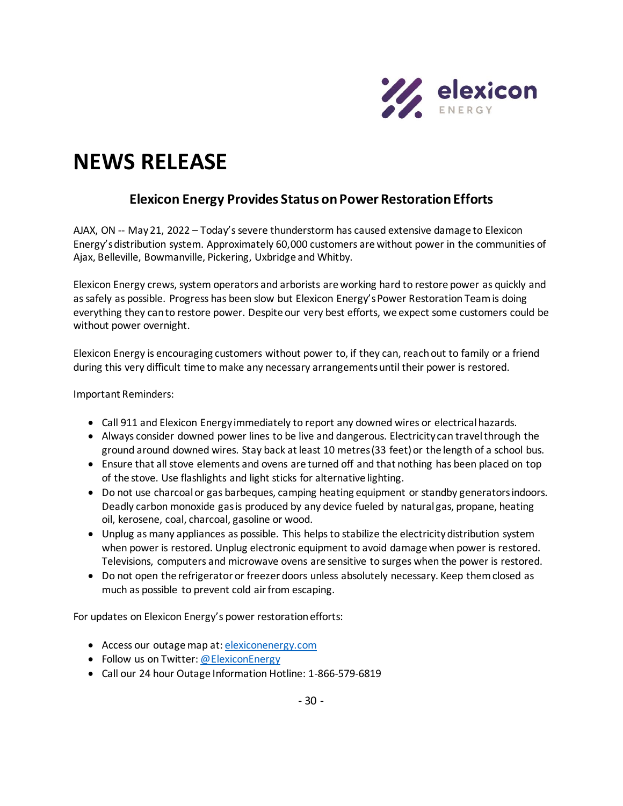

## **NEWS RELEASE**

## **Elexicon Energy Provides Status on Power Restoration Efforts**

AJAX, ON -- May 21, 2022 – Today's severe thunderstorm has caused extensive damage to Elexicon Energy's distribution system. Approximately 60,000 customers are without power in the communities of Ajax, Belleville, Bowmanville, Pickering, Uxbridge and Whitby.

Elexicon Energy crews, system operators and arborists are working hard to restore power as quickly and as safely as possible. Progress has been slow but Elexicon Energy's Power Restoration Team is doing everything they can to restore power. Despite our very best efforts, we expect some customers could be without power overnight.

Elexicon Energy is encouraging customers without power to, if they can, reach out to family or a friend during this very difficult time to make any necessary arrangements until their power is restored.

Important Reminders:

- Call 911 and Elexicon Energy immediately to report any downed wires or electrical hazards.
- Always consider downed power lines to be live and dangerous. Electricity can travel through the ground around downed wires. Stay back at least 10 metres (33 feet) or the length of a school bus.
- Ensure that all stove elements and ovens are turned off and that nothing has been placed on top of the stove. Use flashlights and light sticks for alternative lighting.
- Do not use charcoal or gas barbeques, camping heating equipment or standby generators indoors. Deadly carbon monoxide gas is produced by any device fueled by natural gas, propane, heating oil, kerosene, coal, charcoal, gasoline or wood.
- Unplug as many appliances as possible. This helps to stabilize the electricity distribution system when power is restored. Unplug electronic equipment to avoid damage when power is restored. Televisions, computers and microwave ovens are sensitive to surges when the power is restored.
- Do not open the refrigerator or freezer doors unless absolutely necessary. Keep them closed as much as possible to prevent cold air from escaping.

For updates on Elexicon Energy's power restoration efforts:

- Access our outage map at[: elexiconenergy.com](http://www.elexiconenergy.com/)
- Follow us on Twitter[: @ElexiconEnergy](http://www.twitter.com/ElexiconEnergy)
- Call our 24 hour Outage Information Hotline: 1-866-579-6819